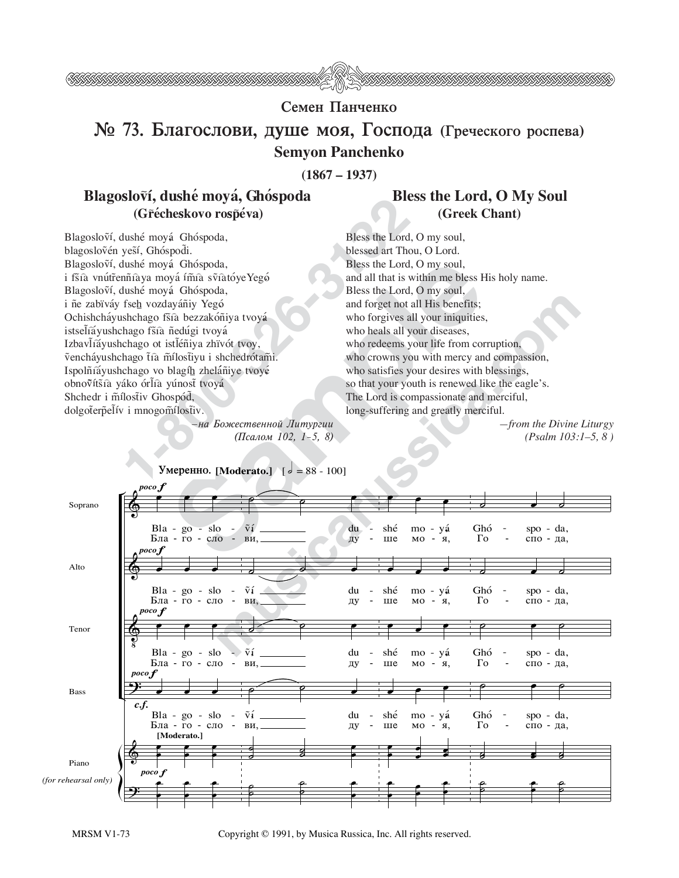

## Семен Панченко

## № 73. Благослови, душе моя, Господа (Греческого роспева) **Semvon Panchenko**

 $(1867 - 1937)$ 

## Blagosloví, dushé mová, Ghóspoda (Gřécheskovo rospéva)

Blagosloví, dushé moyá Ghóspoda, blagoslovén yesí, Ghóspodi. Blagosloví, dushé moyá Ghóspoda, i fšía vnútřennía ya mová ímía svíatóve Yegó Blagosloví, dushé moyá Ghóspoda, i ñe zabïváy fseh vozdayáñiy Yegó Ochishcháyushchago fšíà bezzakóñiya tvoyá istsel̃iáyushchago fšia ñedúgi tvoyá Izbavlíá yushchago ot istléniya zhrvót tvoy, vencháyushchago tía mílostiyu i shchedrótami. Ispolñíáyushchago vo blagíh zheláñiye tvoyé obnovítšíà yáko órlià yúnosť tvoyá Shchedr i mílostiv Ghospód, dolgoterpelív i mnogomílostiv.

## **Bless the Lord, O My Soul** (Greek Chant)

Bless the Lord, O my soul, blessed art Thou, O Lord. Bless the Lord, O my soul, and all that is within me bless His holy name. Bless the Lord, O my soul, and forget not all His benefits; who forgives all your iniquities, who heals all your diseases, who redeems your life from corruption, who crowns you with mercy and compassion, who satisfies your desires with blessings, so that your youth is renewed like the eagle's. The Lord is compassionate and merciful, long-suffering and greatly merciful.

> $-$ from the Divine Liturgy  $(Psalm 103:1–5, 8)$



Copyright © 1991, by Musica Russica, Inc. All rights reserved.

<sup>-</sup>на Божественной Литургии (Псалом 102, 1-5, 8)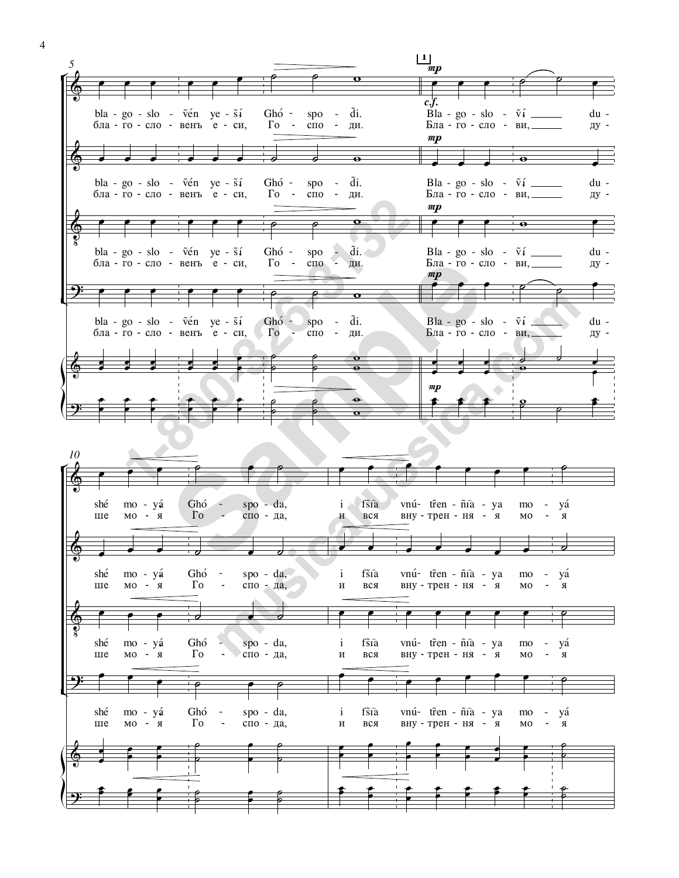

 $\overline{4}$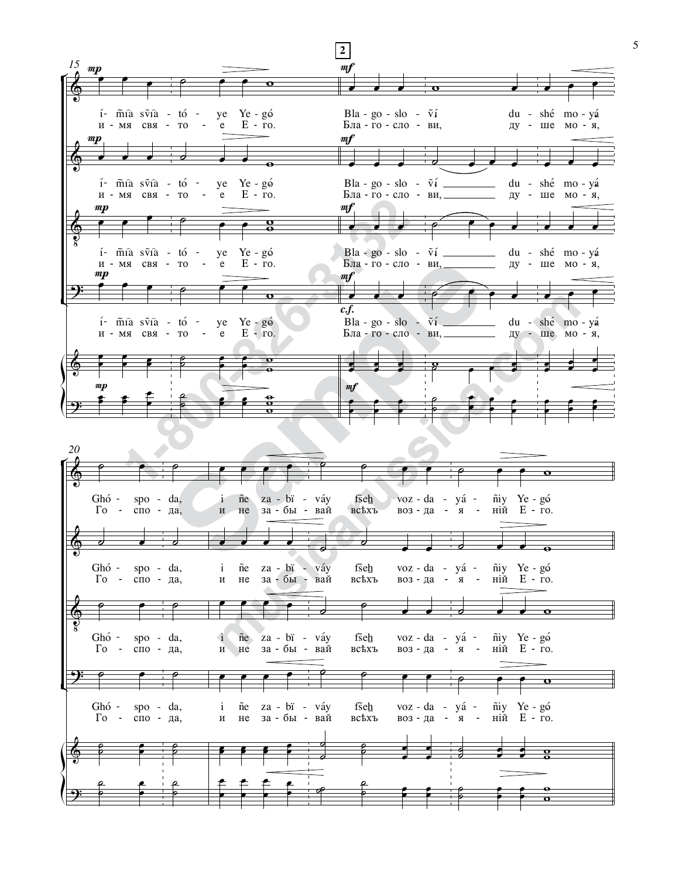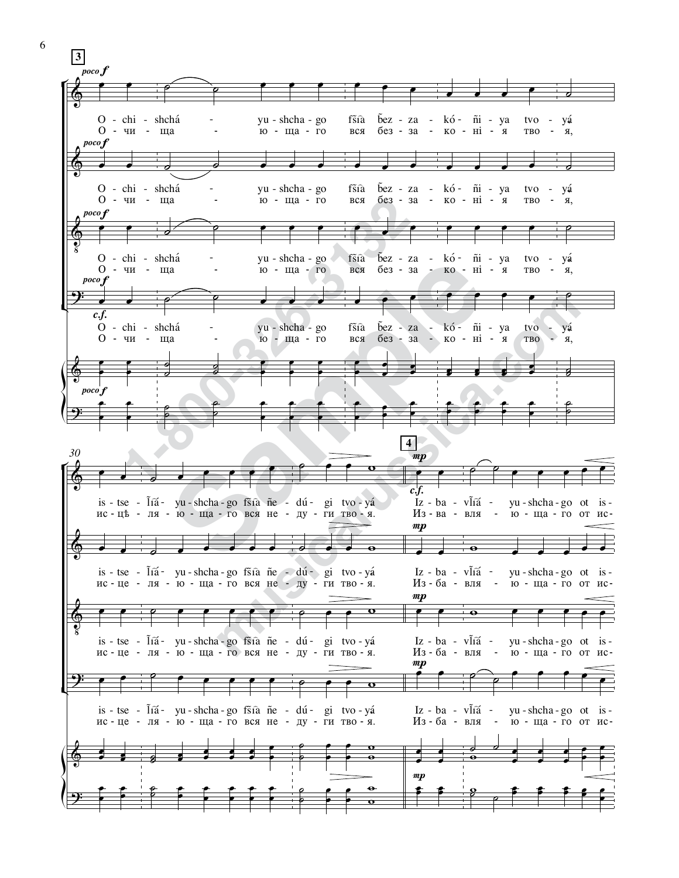